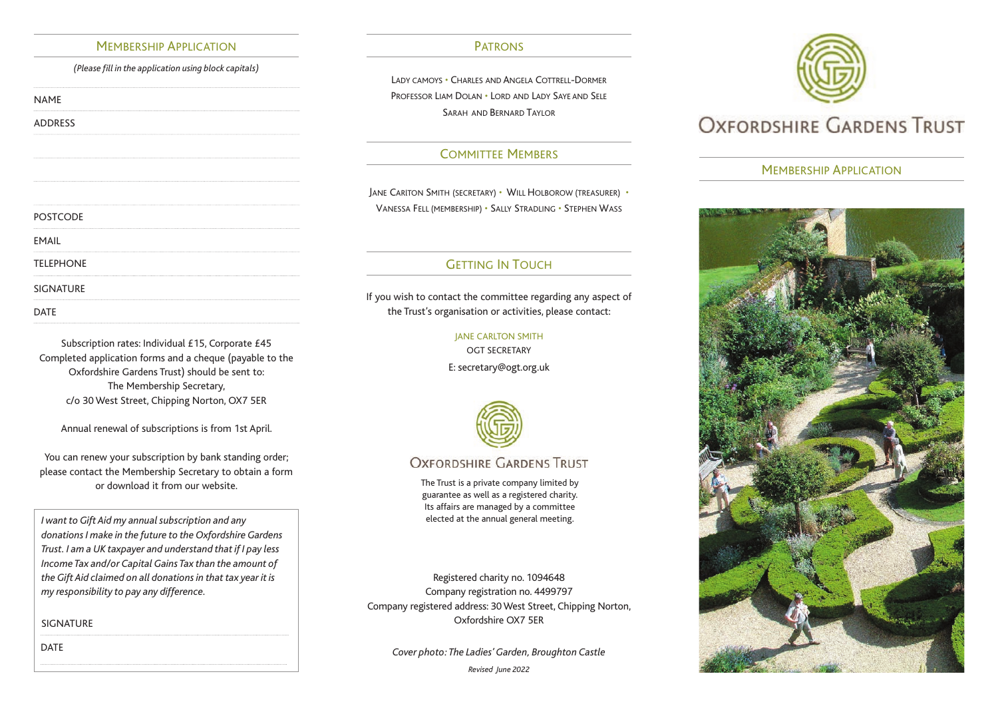#### MEMBERSHIP APPLICATION PATRONS

*(Please fill in the application using block capitals)*

NAME

ADDRESS

# DATE SIGNATURE TELEPHONE EMAIL POSTCODE

Subscription rates: Individual £15, Corporate £45 Completed application forms and a cheque (payable to the Oxfordshire Gardens Trust) should be sent to: The Membership Secretary, c/o 30 West Street, Chipping Norton, OX7 5ER

Annual renewal of subscriptions is from 1st April.

You can renew your subscription by bank standing order; please contact the Membership Secretary to obtain a form or download it from our website.

*I want to Gift Aid my annual subscription and any donations I make in the future to the Oxfordshire Gardens Trust. I am a UK taxpayer and understand that if I pay less Income Tax and/or Capital Gains Tax than the amount of the Gift Aid claimed on all donations in that tax year it is my responsibility to pay any difference.*

SIGNATURE

DATE

LADY CAMOYS • CHARLES AND ANGELA COTTRELL-DORMER PROFESSOR LIAM DOLAN • LORD AND LADY SAYE AND SELE SARAH AND BERNARD TAYLOR

# COMMITTEE MEMBERS

JANE CARlTON SMITH (SECRETARY) • WILL HOLBOROW (TREASURER) • VANESSA FELL (MEMBERSHIP) • SALLY STRADLING • STEPHEN WASS

# **GETTING IN TOUCH**

If you wish to contact the committee regarding any aspect of the Trust's organisation or activities, please contact:

#### JANE CARLTON SMITH

OGT SECRETARY

E: secretary@ogt.org.uk



# **OXFORDSHIRE GARDENS TRUST**

The Trust is a private company limited by guarantee as well as a registered charity. Its affairs are managed by a committee elected at the annual general meeting.

Registered charity no. 1094648 Company registration no. 4499797 Company registered address: 30 West Street, Chipping Norton, Oxfordshire OX7 5ER

*Cover photo: The Ladies' Garden, Broughton Castle Revised June 2022*



### MEMBERSHIP APPLICATION